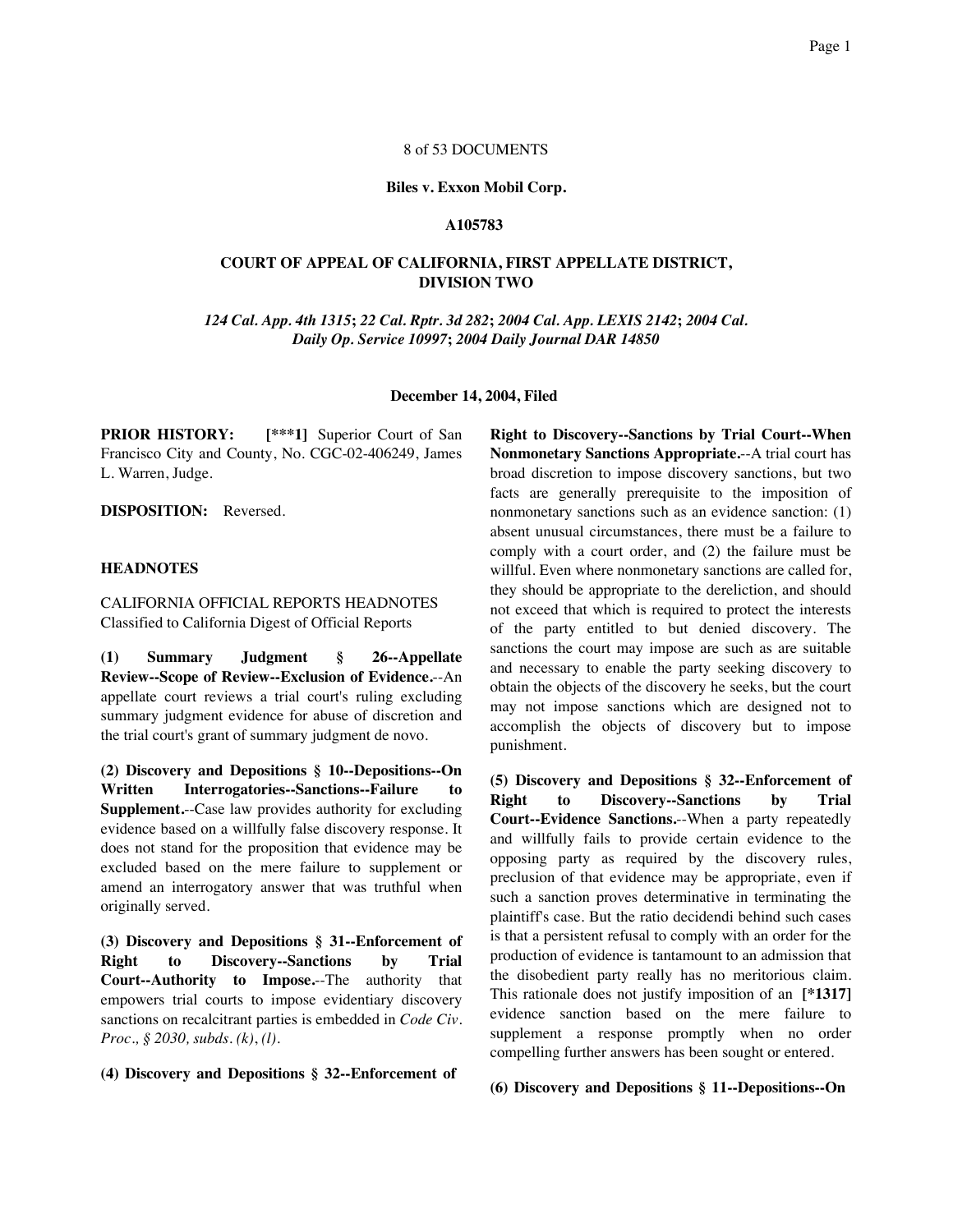### 8 of 53 DOCUMENTS

#### **Biles v. Exxon Mobil Corp.**

#### **A105783**

### **COURT OF APPEAL OF CALIFORNIA, FIRST APPELLATE DISTRICT, DIVISION TWO**

*124 Cal. App. 4th 1315***;** *22 Cal. Rptr. 3d 282***;** *2004 Cal. App. LEXIS 2142***;** *2004 Cal. Daily Op. Service 10997***;** *2004 Daily Journal DAR 14850*

#### **December 14, 2004, Filed**

**PRIOR HISTORY:** [\*\*\*1] Superior Court of San Francisco City and County, No. CGC-02-406249, James L. Warren, Judge.

**DISPOSITION:** Reversed.

### **HEADNOTES**

## CALIFORNIA OFFICIAL REPORTS HEADNOTES Classified to California Digest of Official Reports

**(1) Summary Judgment § 26--Appellate Review--Scope of Review--Exclusion of Evidence.**--An appellate court reviews a trial court's ruling excluding summary judgment evidence for abuse of discretion and the trial court's grant of summary judgment de novo.

**(2) Discovery and Depositions § 10--Depositions--On Written Interrogatories--Sanctions--Failure to Supplement.**--Case law provides authority for excluding evidence based on a willfully false discovery response. It does not stand for the proposition that evidence may be excluded based on the mere failure to supplement or amend an interrogatory answer that was truthful when originally served.

**(3) Discovery and Depositions § 31--Enforcement of Right to Discovery--Sanctions by Trial Court--Authority to Impose.**--The authority that empowers trial courts to impose evidentiary discovery sanctions on recalcitrant parties is embedded in *Code Civ. Proc., § 2030, subds. (k)*, *(l)*.

**(4) Discovery and Depositions § 32--Enforcement of**

**Right to Discovery--Sanctions by Trial Court--When Nonmonetary Sanctions Appropriate.**--A trial court has broad discretion to impose discovery sanctions, but two facts are generally prerequisite to the imposition of nonmonetary sanctions such as an evidence sanction: (1) absent unusual circumstances, there must be a failure to comply with a court order, and (2) the failure must be willful. Even where nonmonetary sanctions are called for, they should be appropriate to the dereliction, and should not exceed that which is required to protect the interests of the party entitled to but denied discovery. The sanctions the court may impose are such as are suitable and necessary to enable the party seeking discovery to obtain the objects of the discovery he seeks, but the court may not impose sanctions which are designed not to accomplish the objects of discovery but to impose punishment.

**(5) Discovery and Depositions § 32--Enforcement of Right to Discovery--Sanctions by Trial Court--Evidence Sanctions.**--When a party repeatedly and willfully fails to provide certain evidence to the opposing party as required by the discovery rules, preclusion of that evidence may be appropriate, even if such a sanction proves determinative in terminating the plaintiff's case. But the ratio decidendi behind such cases is that a persistent refusal to comply with an order for the production of evidence is tantamount to an admission that the disobedient party really has no meritorious claim. This rationale does not justify imposition of an **[\*1317]** evidence sanction based on the mere failure to supplement a response promptly when no order compelling further answers has been sought or entered.

**(6) Discovery and Depositions § 11--Depositions--On**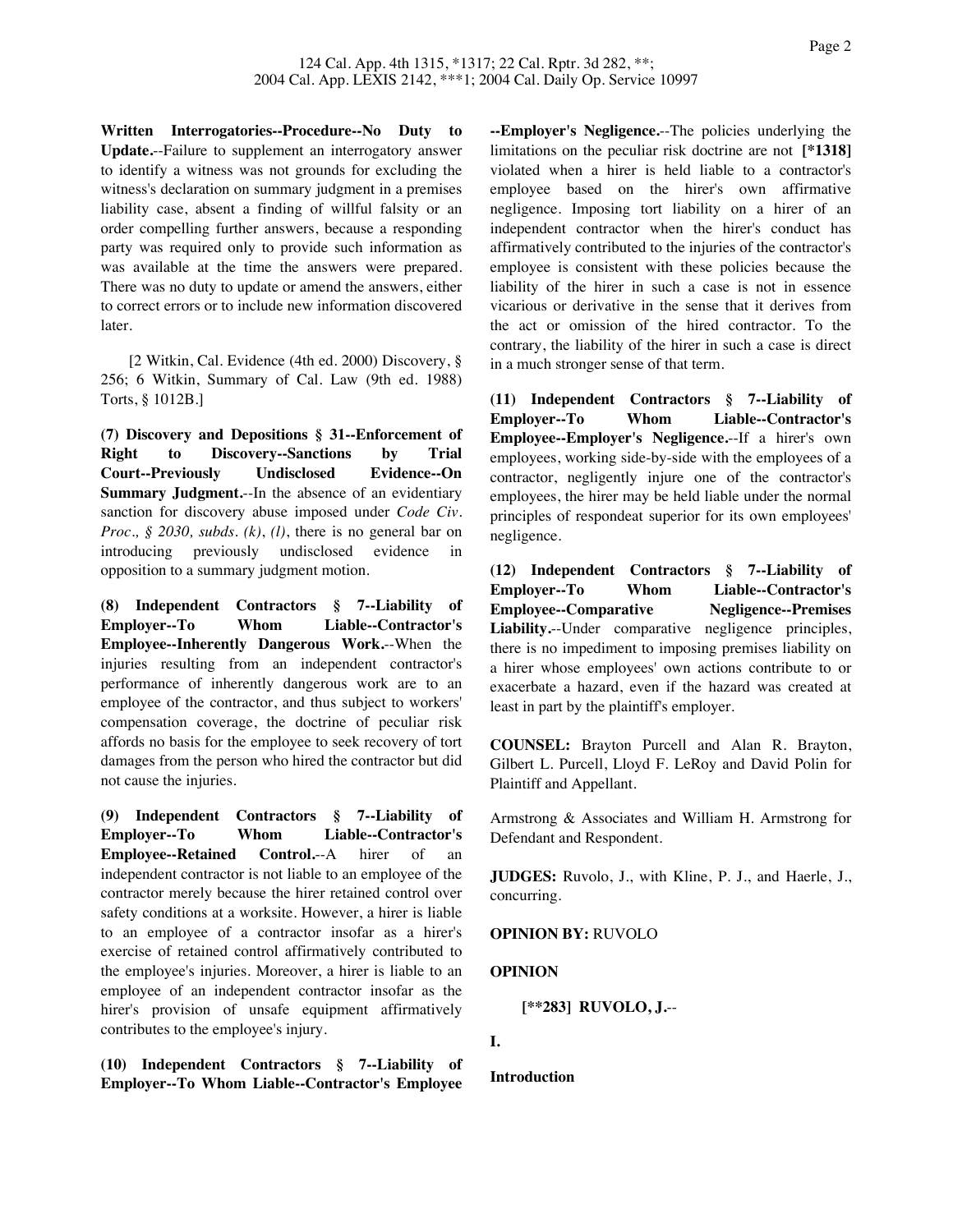**Written Interrogatories--Procedure--No Duty to Update.**--Failure to supplement an interrogatory answer to identify a witness was not grounds for excluding the witness's declaration on summary judgment in a premises liability case, absent a finding of willful falsity or an order compelling further answers, because a responding party was required only to provide such information as was available at the time the answers were prepared. There was no duty to update or amend the answers, either to correct errors or to include new information discovered later.

[2 Witkin, Cal. Evidence (4th ed. 2000) Discovery, § 256; 6 Witkin, Summary of Cal. Law (9th ed. 1988) Torts, § 1012B.]

**(7) Discovery and Depositions § 31--Enforcement of Right to Discovery--Sanctions by Trial Court--Previously Undisclosed Evidence--On Summary Judgment.**--In the absence of an evidentiary sanction for discovery abuse imposed under *Code Civ. Proc., § 2030, subds. (k)*, *(l)*, there is no general bar on introducing previously undisclosed evidence in opposition to a summary judgment motion.

**(8) Independent Contractors § 7--Liability of Employer--To Whom Liable--Contractor's Employee--Inherently Dangerous Work.**--When the injuries resulting from an independent contractor's performance of inherently dangerous work are to an employee of the contractor, and thus subject to workers' compensation coverage, the doctrine of peculiar risk affords no basis for the employee to seek recovery of tort damages from the person who hired the contractor but did not cause the injuries.

**(9) Independent Contractors § 7--Liability of Employer--To Whom Liable--Contractor's Employee--Retained Control.**--A hirer of an independent contractor is not liable to an employee of the contractor merely because the hirer retained control over safety conditions at a worksite. However, a hirer is liable to an employee of a contractor insofar as a hirer's exercise of retained control affirmatively contributed to the employee's injuries. Moreover, a hirer is liable to an employee of an independent contractor insofar as the hirer's provision of unsafe equipment affirmatively contributes to the employee's injury.

**(10) Independent Contractors § 7--Liability of Employer--To Whom Liable--Contractor's Employee**

**--Employer's Negligence.**--The policies underlying the limitations on the peculiar risk doctrine are not **[\*1318]** violated when a hirer is held liable to a contractor's employee based on the hirer's own affirmative negligence. Imposing tort liability on a hirer of an independent contractor when the hirer's conduct has affirmatively contributed to the injuries of the contractor's employee is consistent with these policies because the liability of the hirer in such a case is not in essence vicarious or derivative in the sense that it derives from the act or omission of the hired contractor. To the contrary, the liability of the hirer in such a case is direct in a much stronger sense of that term.

**(11) Independent Contractors § 7--Liability of Employer--To Whom Liable--Contractor's Employee--Employer's Negligence.**--If a hirer's own employees, working side-by-side with the employees of a contractor, negligently injure one of the contractor's employees, the hirer may be held liable under the normal principles of respondeat superior for its own employees' negligence.

**(12) Independent Contractors § 7--Liability of Employer--To Whom Liable--Contractor's Employee--Comparative Negligence--Premises Liability.**--Under comparative negligence principles, there is no impediment to imposing premises liability on a hirer whose employees' own actions contribute to or exacerbate a hazard, even if the hazard was created at least in part by the plaintiff's employer.

**COUNSEL:** Brayton Purcell and Alan R. Brayton, Gilbert L. Purcell, Lloyd F. LeRoy and David Polin for Plaintiff and Appellant.

Armstrong & Associates and William H. Armstrong for Defendant and Respondent.

**JUDGES:** Ruvolo, J., with Kline, P. J., and Haerle, J., concurring.

**OPINION BY:** RUVOLO

### **OPINION**

**[\*\*283] RUVOLO, J.**--

**Introduction**

**I.**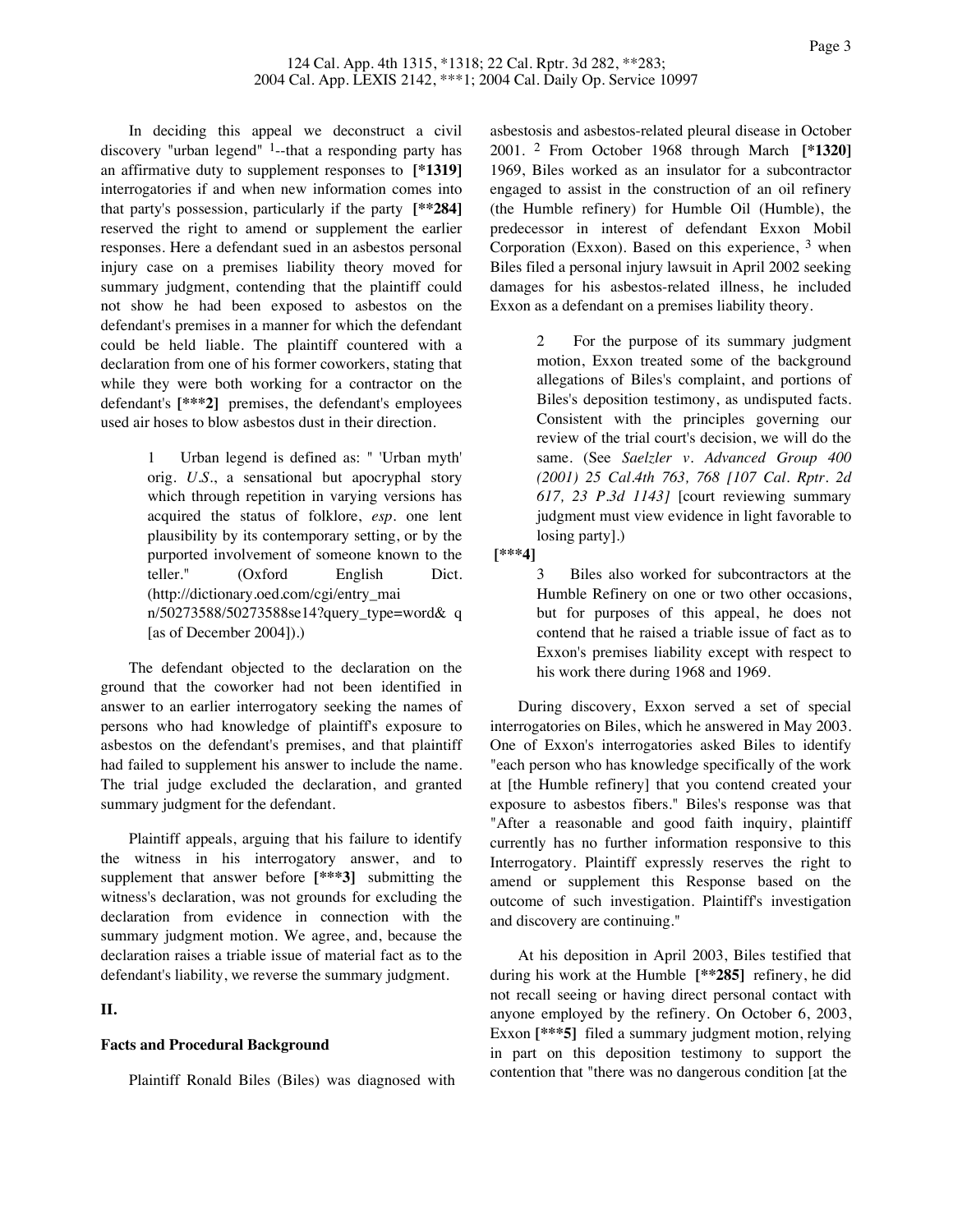In deciding this appeal we deconstruct a civil discovery "urban legend"  $<sup>1</sup>$ -that a responding party has</sup> an affirmative duty to supplement responses to **[\*1319]** interrogatories if and when new information comes into that party's possession, particularly if the party **[\*\*284]** reserved the right to amend or supplement the earlier responses. Here a defendant sued in an asbestos personal injury case on a premises liability theory moved for summary judgment, contending that the plaintiff could not show he had been exposed to asbestos on the defendant's premises in a manner for which the defendant could be held liable. The plaintiff countered with a declaration from one of his former coworkers, stating that while they were both working for a contractor on the defendant's **[\*\*\*2]** premises, the defendant's employees used air hoses to blow asbestos dust in their direction.

> 1 Urban legend is defined as: " 'Urban myth' orig. *U.S.*, a sensational but apocryphal story which through repetition in varying versions has acquired the status of folklore, *esp.* one lent plausibility by its contemporary setting, or by the purported involvement of someone known to the teller." (Oxford English Dict. (http://dictionary.oed.com/cgi/entry\_mai n/50273588/50273588se14?query\_type=word& q [as of December 2004]).)

The defendant objected to the declaration on the ground that the coworker had not been identified in answer to an earlier interrogatory seeking the names of persons who had knowledge of plaintiff's exposure to asbestos on the defendant's premises, and that plaintiff had failed to supplement his answer to include the name. The trial judge excluded the declaration, and granted summary judgment for the defendant.

Plaintiff appeals, arguing that his failure to identify the witness in his interrogatory answer, and to supplement that answer before **[\*\*\*3]** submitting the witness's declaration, was not grounds for excluding the declaration from evidence in connection with the summary judgment motion. We agree, and, because the declaration raises a triable issue of material fact as to the defendant's liability, we reverse the summary judgment.

# **II.**

### **Facts and Procedural Background**

Plaintiff Ronald Biles (Biles) was diagnosed with

asbestosis and asbestos-related pleural disease in October 2001. 2 From October 1968 through March **[\*1320]** 1969, Biles worked as an insulator for a subcontractor engaged to assist in the construction of an oil refinery (the Humble refinery) for Humble Oil (Humble), the predecessor in interest of defendant Exxon Mobil Corporation (Exxon). Based on this experience, 3 when Biles filed a personal injury lawsuit in April 2002 seeking damages for his asbestos-related illness, he included Exxon as a defendant on a premises liability theory.

> 2 For the purpose of its summary judgment motion, Exxon treated some of the background allegations of Biles's complaint, and portions of Biles's deposition testimony, as undisputed facts. Consistent with the principles governing our review of the trial court's decision, we will do the same. (See *Saelzler v. Advanced Group 400 (2001) 25 Cal.4th 763, 768 [107 Cal. Rptr. 2d 617, 23 P.3d 1143]* [court reviewing summary judgment must view evidence in light favorable to losing party].)

**[\*\*\*4]**

3 Biles also worked for subcontractors at the Humble Refinery on one or two other occasions, but for purposes of this appeal, he does not contend that he raised a triable issue of fact as to Exxon's premises liability except with respect to his work there during 1968 and 1969.

During discovery, Exxon served a set of special interrogatories on Biles, which he answered in May 2003. One of Exxon's interrogatories asked Biles to identify "each person who has knowledge specifically of the work at [the Humble refinery] that you contend created your exposure to asbestos fibers." Biles's response was that "After a reasonable and good faith inquiry, plaintiff currently has no further information responsive to this Interrogatory. Plaintiff expressly reserves the right to amend or supplement this Response based on the outcome of such investigation. Plaintiff's investigation and discovery are continuing."

At his deposition in April 2003, Biles testified that during his work at the Humble **[\*\*285]** refinery, he did not recall seeing or having direct personal contact with anyone employed by the refinery. On October 6, 2003, Exxon [\*\*\***5**] filed a summary judgment motion, relying in part on this deposition testimony to support the contention that "there was no dangerous condition [at the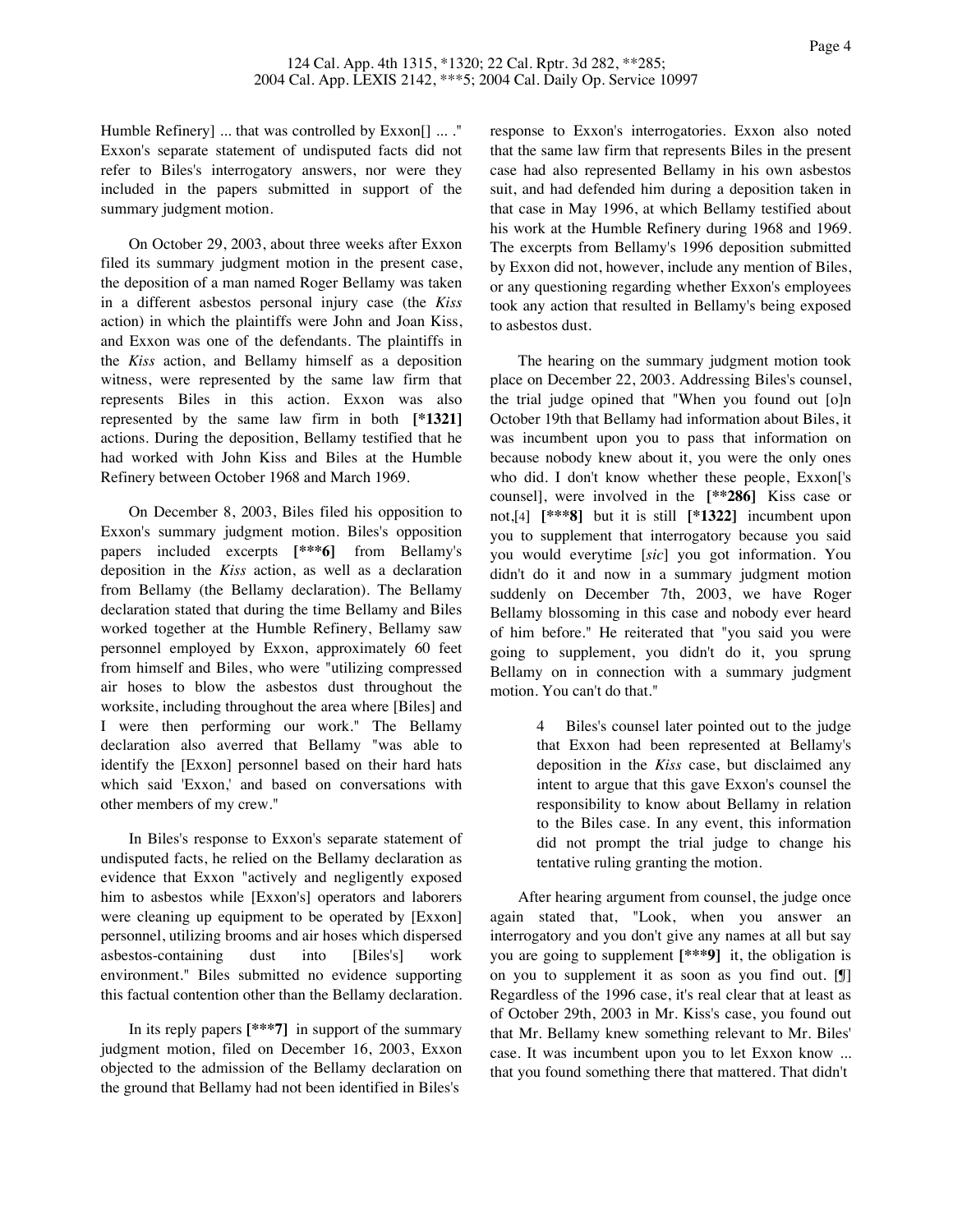Humble Refinery] ... that was controlled by Exxon[] ... ." Exxon's separate statement of undisputed facts did not refer to Biles's interrogatory answers, nor were they included in the papers submitted in support of the summary judgment motion.

On October 29, 2003, about three weeks after Exxon filed its summary judgment motion in the present case, the deposition of a man named Roger Bellamy was taken in a different asbestos personal injury case (the *Kiss* action) in which the plaintiffs were John and Joan Kiss, and Exxon was one of the defendants. The plaintiffs in the *Kiss* action, and Bellamy himself as a deposition witness, were represented by the same law firm that represents Biles in this action. Exxon was also represented by the same law firm in both **[\*1321]** actions. During the deposition, Bellamy testified that he had worked with John Kiss and Biles at the Humble Refinery between October 1968 and March 1969.

On December 8, 2003, Biles filed his opposition to Exxon's summary judgment motion. Biles's opposition papers included excerpts **[\*\*\*6]** from Bellamy's deposition in the *Kiss* action, as well as a declaration from Bellamy (the Bellamy declaration). The Bellamy declaration stated that during the time Bellamy and Biles worked together at the Humble Refinery, Bellamy saw personnel employed by Exxon, approximately 60 feet from himself and Biles, who were "utilizing compressed air hoses to blow the asbestos dust throughout the worksite, including throughout the area where [Biles] and I were then performing our work." The Bellamy declaration also averred that Bellamy "was able to identify the [Exxon] personnel based on their hard hats which said 'Exxon,' and based on conversations with other members of my crew."

In Biles's response to Exxon's separate statement of undisputed facts, he relied on the Bellamy declaration as evidence that Exxon "actively and negligently exposed him to asbestos while [Exxon's] operators and laborers were cleaning up equipment to be operated by [Exxon] personnel, utilizing brooms and air hoses which dispersed asbestos-containing dust into [Biles's] work environment." Biles submitted no evidence supporting this factual contention other than the Bellamy declaration.

In its reply papers **[\*\*\*7]** in support of the summary judgment motion, filed on December 16, 2003, Exxon objected to the admission of the Bellamy declaration on the ground that Bellamy had not been identified in Biles's

response to Exxon's interrogatories. Exxon also noted that the same law firm that represents Biles in the present case had also represented Bellamy in his own asbestos suit, and had defended him during a deposition taken in that case in May 1996, at which Bellamy testified about his work at the Humble Refinery during 1968 and 1969. The excerpts from Bellamy's 1996 deposition submitted by Exxon did not, however, include any mention of Biles, or any questioning regarding whether Exxon's employees took any action that resulted in Bellamy's being exposed to asbestos dust.

The hearing on the summary judgment motion took place on December 22, 2003. Addressing Biles's counsel, the trial judge opined that "When you found out [o]n October 19th that Bellamy had information about Biles, it was incumbent upon you to pass that information on because nobody knew about it, you were the only ones who did. I don't know whether these people, Exxon['s counsel], were involved in the **[\*\*286]** Kiss case or not,[4] **[\*\*\*8]** but it is still **[\*1322]** incumbent upon you to supplement that interrogatory because you said you would everytime [*sic*] you got information. You didn't do it and now in a summary judgment motion suddenly on December 7th, 2003, we have Roger Bellamy blossoming in this case and nobody ever heard of him before." He reiterated that "you said you were going to supplement, you didn't do it, you sprung Bellamy on in connection with a summary judgment motion. You can't do that."

> 4 Biles's counsel later pointed out to the judge that Exxon had been represented at Bellamy's deposition in the *Kiss* case, but disclaimed any intent to argue that this gave Exxon's counsel the responsibility to know about Bellamy in relation to the Biles case. In any event, this information did not prompt the trial judge to change his tentative ruling granting the motion.

After hearing argument from counsel, the judge once again stated that, "Look, when you answer an interrogatory and you don't give any names at all but say you are going to supplement **[\*\*\*9]** it, the obligation is on you to supplement it as soon as you find out. [¶] Regardless of the 1996 case, it's real clear that at least as of October 29th, 2003 in Mr. Kiss's case, you found out that Mr. Bellamy knew something relevant to Mr. Biles' case. It was incumbent upon you to let Exxon know ... that you found something there that mattered. That didn't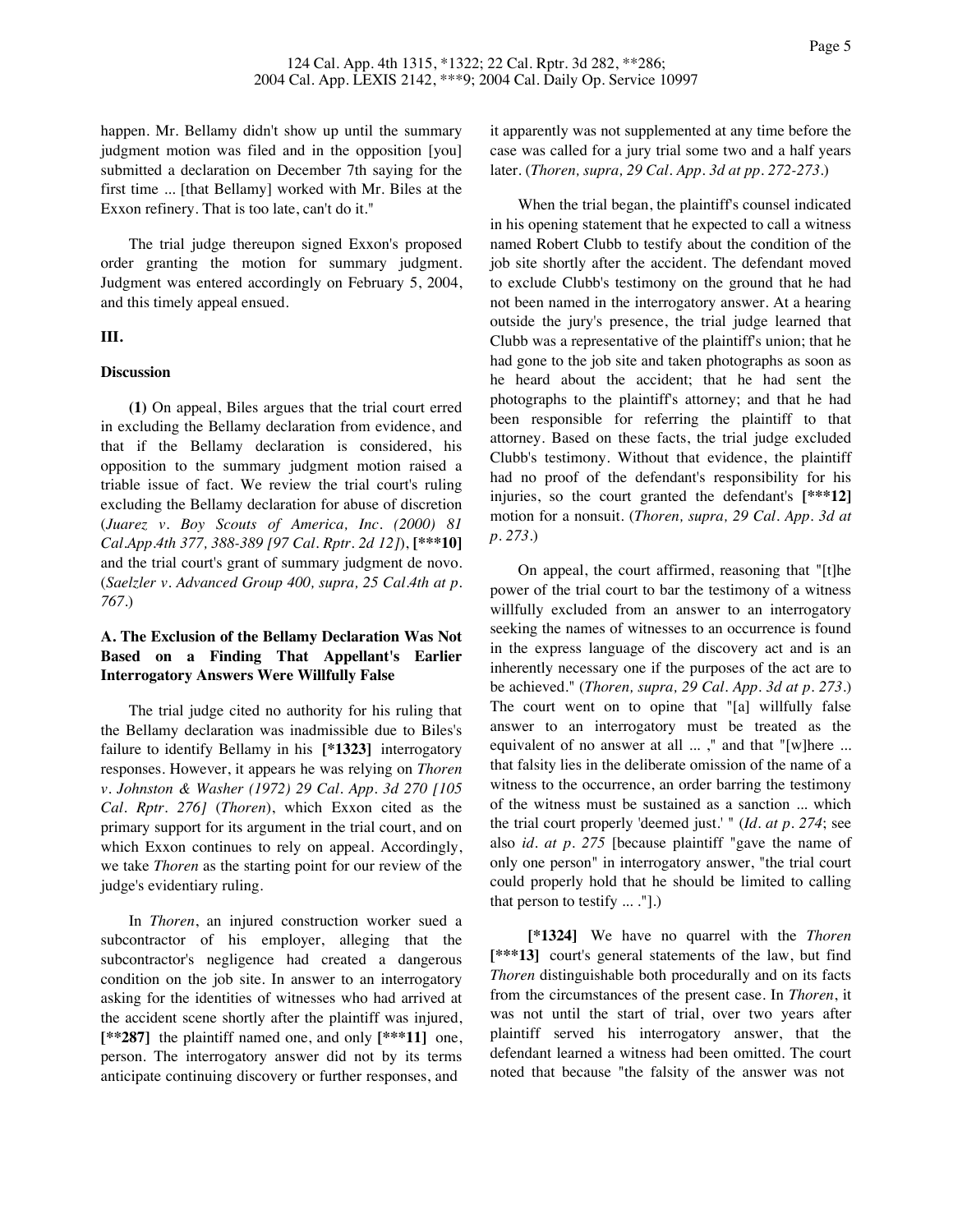happen. Mr. Bellamy didn't show up until the summary judgment motion was filed and in the opposition [you] submitted a declaration on December 7th saying for the first time ... [that Bellamy] worked with Mr. Biles at the Exxon refinery. That is too late, can't do it."

The trial judge thereupon signed Exxon's proposed order granting the motion for summary judgment. Judgment was entered accordingly on February 5, 2004, and this timely appeal ensued.

### **III.**

### **Discussion**

**(1)** On appeal, Biles argues that the trial court erred in excluding the Bellamy declaration from evidence, and that if the Bellamy declaration is considered, his opposition to the summary judgment motion raised a triable issue of fact. We review the trial court's ruling excluding the Bellamy declaration for abuse of discretion (*Juarez v. Boy Scouts of America, Inc. (2000) 81 Cal.App.4th 377, 388-389 [97 Cal. Rptr. 2d 12]*), **[\*\*\*10]** and the trial court's grant of summary judgment de novo. (*Saelzler v. Advanced Group 400, supra, 25 Cal.4th at p. 767*.)

# **A. The Exclusion of the Bellamy Declaration Was Not Based on a Finding That Appellant's Earlier Interrogatory Answers Were Willfully False**

The trial judge cited no authority for his ruling that the Bellamy declaration was inadmissible due to Biles's failure to identify Bellamy in his **[\*1323]** interrogatory responses. However, it appears he was relying on *Thoren v. Johnston & Washer (1972) 29 Cal. App. 3d 270 [105 Cal. Rptr. 276]* (*Thoren*), which Exxon cited as the primary support for its argument in the trial court, and on which Exxon continues to rely on appeal. Accordingly, we take *Thoren* as the starting point for our review of the judge's evidentiary ruling.

In *Thoren*, an injured construction worker sued a subcontractor of his employer, alleging that the subcontractor's negligence had created a dangerous condition on the job site. In answer to an interrogatory asking for the identities of witnesses who had arrived at the accident scene shortly after the plaintiff was injured, **[\*\*287]** the plaintiff named one, and only **[\*\*\*11]** one, person. The interrogatory answer did not by its terms anticipate continuing discovery or further responses, and

it apparently was not supplemented at any time before the case was called for a jury trial some two and a half years later. (*Thoren, supra, 29 Cal. App. 3d at pp. 272-273*.)

When the trial began, the plaintiff's counsel indicated in his opening statement that he expected to call a witness named Robert Clubb to testify about the condition of the job site shortly after the accident. The defendant moved to exclude Clubb's testimony on the ground that he had not been named in the interrogatory answer. At a hearing outside the jury's presence, the trial judge learned that Clubb was a representative of the plaintiff's union; that he had gone to the job site and taken photographs as soon as he heard about the accident; that he had sent the photographs to the plaintiff's attorney; and that he had been responsible for referring the plaintiff to that attorney. Based on these facts, the trial judge excluded Clubb's testimony. Without that evidence, the plaintiff had no proof of the defendant's responsibility for his injuries, so the court granted the defendant's **[\*\*\*12]** motion for a nonsuit. (*Thoren, supra, 29 Cal. App. 3d at p. 273*.)

On appeal, the court affirmed, reasoning that "[t]he power of the trial court to bar the testimony of a witness willfully excluded from an answer to an interrogatory seeking the names of witnesses to an occurrence is found in the express language of the discovery act and is an inherently necessary one if the purposes of the act are to be achieved." (*Thoren, supra, 29 Cal. App. 3d at p. 273*.) The court went on to opine that "[a] willfully false answer to an interrogatory must be treated as the equivalent of no answer at all ...," and that "[w]here ... that falsity lies in the deliberate omission of the name of a witness to the occurrence, an order barring the testimony of the witness must be sustained as a sanction ... which the trial court properly 'deemed just.' " (*Id. at p. 274*; see also *id. at p. 275* [because plaintiff "gave the name of only one person" in interrogatory answer, "the trial court could properly hold that he should be limited to calling that person to testify ... ."].)

**[\*1324]** We have no quarrel with the *Thoren* **[\*\*\*13]** court's general statements of the law, but find *Thoren* distinguishable both procedurally and on its facts from the circumstances of the present case. In *Thoren*, it was not until the start of trial, over two years after plaintiff served his interrogatory answer, that the defendant learned a witness had been omitted. The court noted that because "the falsity of the answer was not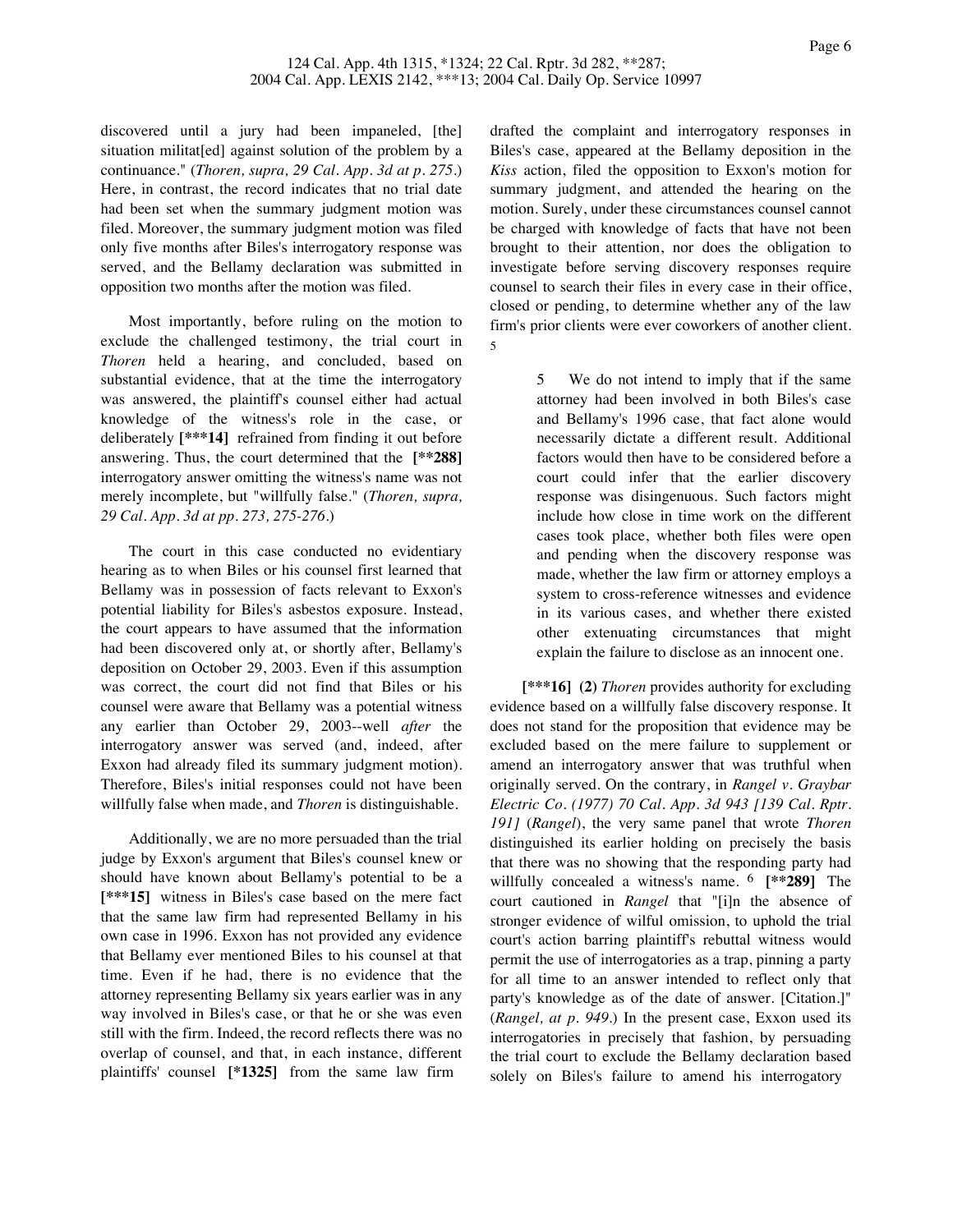discovered until a jury had been impaneled, [the] situation militat[ed] against solution of the problem by a continuance." (*Thoren, supra, 29 Cal. App. 3d at p. 275*.) Here, in contrast, the record indicates that no trial date had been set when the summary judgment motion was filed. Moreover, the summary judgment motion was filed only five months after Biles's interrogatory response was served, and the Bellamy declaration was submitted in opposition two months after the motion was filed.

Most importantly, before ruling on the motion to exclude the challenged testimony, the trial court in *Thoren* held a hearing, and concluded, based on substantial evidence, that at the time the interrogatory was answered, the plaintiff's counsel either had actual knowledge of the witness's role in the case, or deliberately **[\*\*\*14]** refrained from finding it out before answering. Thus, the court determined that the **[\*\*288]** interrogatory answer omitting the witness's name was not merely incomplete, but "willfully false." (*Thoren, supra, 29 Cal. App. 3d at pp. 273, 275-276*.)

The court in this case conducted no evidentiary hearing as to when Biles or his counsel first learned that Bellamy was in possession of facts relevant to Exxon's potential liability for Biles's asbestos exposure. Instead, the court appears to have assumed that the information had been discovered only at, or shortly after, Bellamy's deposition on October 29, 2003. Even if this assumption was correct, the court did not find that Biles or his counsel were aware that Bellamy was a potential witness any earlier than October 29, 2003--well *after* the interrogatory answer was served (and, indeed, after Exxon had already filed its summary judgment motion). Therefore, Biles's initial responses could not have been willfully false when made, and *Thoren* is distinguishable.

Additionally, we are no more persuaded than the trial judge by Exxon's argument that Biles's counsel knew or should have known about Bellamy's potential to be a **[\*\*\*15]** witness in Biles's case based on the mere fact that the same law firm had represented Bellamy in his own case in 1996. Exxon has not provided any evidence that Bellamy ever mentioned Biles to his counsel at that time. Even if he had, there is no evidence that the attorney representing Bellamy six years earlier was in any way involved in Biles's case, or that he or she was even still with the firm. Indeed, the record reflects there was no overlap of counsel, and that, in each instance, different plaintiffs' counsel **[\*1325]** from the same law firm

drafted the complaint and interrogatory responses in Biles's case, appeared at the Bellamy deposition in the *Kiss* action, filed the opposition to Exxon's motion for summary judgment, and attended the hearing on the motion. Surely, under these circumstances counsel cannot be charged with knowledge of facts that have not been brought to their attention, nor does the obligation to investigate before serving discovery responses require counsel to search their files in every case in their office, closed or pending, to determine whether any of the law firm's prior clients were ever coworkers of another client. 5

> 5 We do not intend to imply that if the same attorney had been involved in both Biles's case and Bellamy's 1996 case, that fact alone would necessarily dictate a different result. Additional factors would then have to be considered before a court could infer that the earlier discovery response was disingenuous. Such factors might include how close in time work on the different cases took place, whether both files were open and pending when the discovery response was made, whether the law firm or attorney employs a system to cross-reference witnesses and evidence in its various cases, and whether there existed other extenuating circumstances that might explain the failure to disclose as an innocent one.

**[\*\*\*16] (2)** *Thoren* provides authority for excluding evidence based on a willfully false discovery response. It does not stand for the proposition that evidence may be excluded based on the mere failure to supplement or amend an interrogatory answer that was truthful when originally served. On the contrary, in *Rangel v. Graybar Electric Co. (1977) 70 Cal. App. 3d 943 [139 Cal. Rptr. 191]* (*Rangel*), the very same panel that wrote *Thoren* distinguished its earlier holding on precisely the basis that there was no showing that the responding party had willfully concealed a witness's name. 6 **[\*\*289]** The court cautioned in *Rangel* that "[i]n the absence of stronger evidence of wilful omission, to uphold the trial court's action barring plaintiff's rebuttal witness would permit the use of interrogatories as a trap, pinning a party for all time to an answer intended to reflect only that party's knowledge as of the date of answer. [Citation.]" (*Rangel, at p. 949*.) In the present case, Exxon used its interrogatories in precisely that fashion, by persuading the trial court to exclude the Bellamy declaration based solely on Biles's failure to amend his interrogatory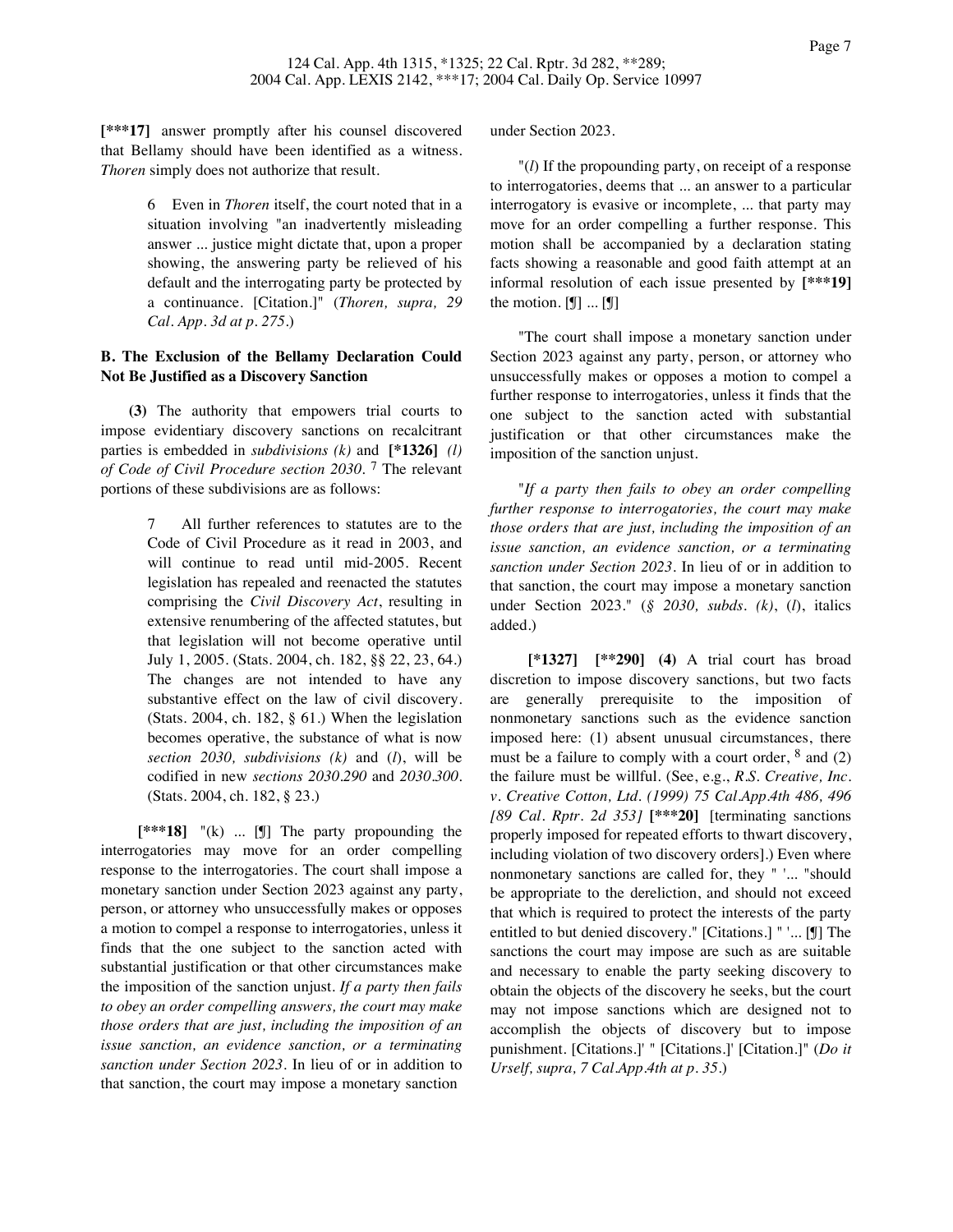**[\*\*\*17]** answer promptly after his counsel discovered that Bellamy should have been identified as a witness. *Thoren* simply does not authorize that result.

> 6 Even in *Thoren* itself, the court noted that in a situation involving "an inadvertently misleading answer ... justice might dictate that, upon a proper showing, the answering party be relieved of his default and the interrogating party be protected by a continuance. [Citation.]" (*Thoren, supra, 29 Cal. App. 3d at p. 275*.)

# **B. The Exclusion of the Bellamy Declaration Could Not Be Justified as a Discovery Sanction**

**(3)** The authority that empowers trial courts to impose evidentiary discovery sanctions on recalcitrant parties is embedded in *subdivisions (k)* and **[\*1326]** *(l) of Code of Civil Procedure section 2030*. 7 The relevant portions of these subdivisions are as follows:

> 7 All further references to statutes are to the Code of Civil Procedure as it read in 2003, and will continue to read until mid-2005. Recent legislation has repealed and reenacted the statutes comprising the *Civil Discovery Act*, resulting in extensive renumbering of the affected statutes, but that legislation will not become operative until July 1, 2005. (Stats. 2004, ch. 182, §§ 22, 23, 64.) The changes are not intended to have any substantive effect on the law of civil discovery. (Stats. 2004, ch. 182, § 61.) When the legislation becomes operative, the substance of what is now *section 2030, subdivisions (k)* and (*l*), will be codified in new *sections 2030.290* and *2030.300*. (Stats. 2004, ch. 182, § 23.)

**[\*\*\*18]** "(k) ... [¶] The party propounding the interrogatories may move for an order compelling response to the interrogatories. The court shall impose a monetary sanction under Section 2023 against any party, person, or attorney who unsuccessfully makes or opposes a motion to compel a response to interrogatories, unless it finds that the one subject to the sanction acted with substantial justification or that other circumstances make the imposition of the sanction unjust. *If a party then fails to obey an order compelling answers, the court may make those orders that are just, including the imposition of an issue sanction, an evidence sanction, or a terminating sanction under Section 2023*. In lieu of or in addition to that sanction, the court may impose a monetary sanction

under Section 2023.

"(*l*) If the propounding party, on receipt of a response to interrogatories, deems that ... an answer to a particular interrogatory is evasive or incomplete, ... that party may move for an order compelling a further response. This motion shall be accompanied by a declaration stating facts showing a reasonable and good faith attempt at an informal resolution of each issue presented by **[\*\*\*19]** the motion.  $[\mathbb{I}]$  ...  $[\mathbb{I}]$ 

"The court shall impose a monetary sanction under Section 2023 against any party, person, or attorney who unsuccessfully makes or opposes a motion to compel a further response to interrogatories, unless it finds that the one subject to the sanction acted with substantial justification or that other circumstances make the imposition of the sanction unjust.

"*If a party then fails to obey an order compelling further response to interrogatories, the court may make those orders that are just, including the imposition of an issue sanction, an evidence sanction, or a terminating sanction under Section 2023.* In lieu of or in addition to that sanction, the court may impose a monetary sanction under Section 2023." (*§ 2030, subds. (k)*, (*l*), italics added.)

**[\*1327] [\*\*290] (4)** A trial court has broad discretion to impose discovery sanctions, but two facts are generally prerequisite to the imposition of nonmonetary sanctions such as the evidence sanction imposed here: (1) absent unusual circumstances, there must be a failure to comply with a court order,  $8$  and (2) the failure must be willful. (See, e.g., *R.S. Creative, Inc. v. Creative Cotton, Ltd. (1999) 75 Cal.App.4th 486, 496 [89 Cal. Rptr. 2d 353]* **[\*\*\*20]** [terminating sanctions properly imposed for repeated efforts to thwart discovery, including violation of two discovery orders].) Even where nonmonetary sanctions are called for, they " '... "should be appropriate to the dereliction, and should not exceed that which is required to protect the interests of the party entitled to but denied discovery." [Citations.] " '... [¶] The sanctions the court may impose are such as are suitable and necessary to enable the party seeking discovery to obtain the objects of the discovery he seeks, but the court may not impose sanctions which are designed not to accomplish the objects of discovery but to impose punishment. [Citations.]' " [Citations.]' [Citation.]" (*Do it Urself, supra, 7 Cal.App.4th at p. 35*.)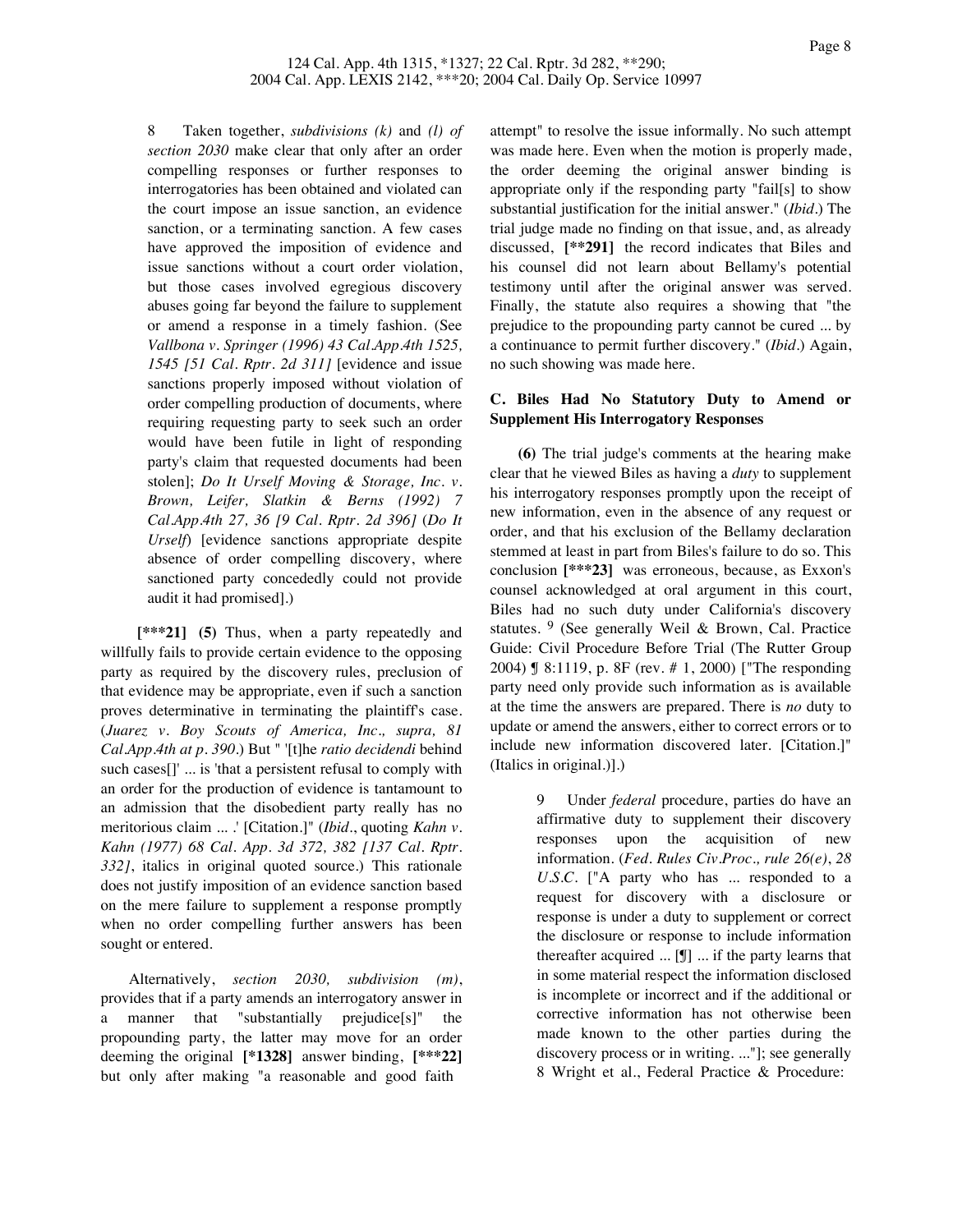8 Taken together, *subdivisions (k)* and *(l) of section 2030* make clear that only after an order compelling responses or further responses to interrogatories has been obtained and violated can the court impose an issue sanction, an evidence sanction, or a terminating sanction. A few cases have approved the imposition of evidence and issue sanctions without a court order violation, but those cases involved egregious discovery abuses going far beyond the failure to supplement or amend a response in a timely fashion. (See *Vallbona v. Springer (1996) 43 Cal.App.4th 1525, 1545 [51 Cal. Rptr. 2d 311]* [evidence and issue sanctions properly imposed without violation of order compelling production of documents, where requiring requesting party to seek such an order would have been futile in light of responding party's claim that requested documents had been stolen]; *Do It Urself Moving & Storage, Inc. v. Brown, Leifer, Slatkin & Berns (1992) 7 Cal.App.4th 27, 36 [9 Cal. Rptr. 2d 396]* (*Do It Urself*) [evidence sanctions appropriate despite absence of order compelling discovery, where sanctioned party concededly could not provide audit it had promised].)

**[\*\*\*21] (5)** Thus, when a party repeatedly and willfully fails to provide certain evidence to the opposing party as required by the discovery rules, preclusion of that evidence may be appropriate, even if such a sanction proves determinative in terminating the plaintiff's case. (*Juarez v. Boy Scouts of America, Inc., supra, 81 Cal.App.4th at p. 390*.) But " '[t]he *ratio decidendi* behind such cases[]' ... is 'that a persistent refusal to comply with an order for the production of evidence is tantamount to an admission that the disobedient party really has no meritorious claim ... .' [Citation.]" (*Ibid*., quoting *Kahn v. Kahn (1977) 68 Cal. App. 3d 372, 382 [137 Cal. Rptr. 332]*, italics in original quoted source.) This rationale does not justify imposition of an evidence sanction based on the mere failure to supplement a response promptly when no order compelling further answers has been sought or entered.

Alternatively, *section 2030, subdivision (m)*, provides that if a party amends an interrogatory answer in a manner that "substantially prejudice[s]" the propounding party, the latter may move for an order deeming the original **[\*1328]** answer binding, **[\*\*\*22]** but only after making "a reasonable and good faith

attempt" to resolve the issue informally. No such attempt was made here. Even when the motion is properly made, the order deeming the original answer binding is appropriate only if the responding party "fail[s] to show substantial justification for the initial answer." (*Ibid.*) The trial judge made no finding on that issue, and, as already discussed, **[\*\*291]** the record indicates that Biles and his counsel did not learn about Bellamy's potential testimony until after the original answer was served. Finally, the statute also requires a showing that "the prejudice to the propounding party cannot be cured ... by a continuance to permit further discovery." (*Ibid.*) Again, no such showing was made here.

## **C. Biles Had No Statutory Duty to Amend or Supplement His Interrogatory Responses**

**(6)** The trial judge's comments at the hearing make clear that he viewed Biles as having a *duty* to supplement his interrogatory responses promptly upon the receipt of new information, even in the absence of any request or order, and that his exclusion of the Bellamy declaration stemmed at least in part from Biles's failure to do so. This conclusion **[\*\*\*23]** was erroneous, because, as Exxon's counsel acknowledged at oral argument in this court, Biles had no such duty under California's discovery statutes. 9 (See generally Weil & Brown, Cal. Practice Guide: Civil Procedure Before Trial (The Rutter Group 2004) ¶ 8:1119, p. 8F (rev. # 1, 2000) ["The responding party need only provide such information as is available at the time the answers are prepared. There is *no* duty to update or amend the answers, either to correct errors or to include new information discovered later. [Citation.]" (Italics in original.)].)

> 9 Under *federal* procedure, parties do have an affirmative duty to supplement their discovery responses upon the acquisition of new information. (*Fed. Rules Civ.Proc., rule 26(e)*, *28 U.S.C.* ["A party who has ... responded to a request for discovery with a disclosure or response is under a duty to supplement or correct the disclosure or response to include information thereafter acquired ... [¶] ... if the party learns that in some material respect the information disclosed is incomplete or incorrect and if the additional or corrective information has not otherwise been made known to the other parties during the discovery process or in writing. ..."]; see generally 8 Wright et al., Federal Practice & Procedure: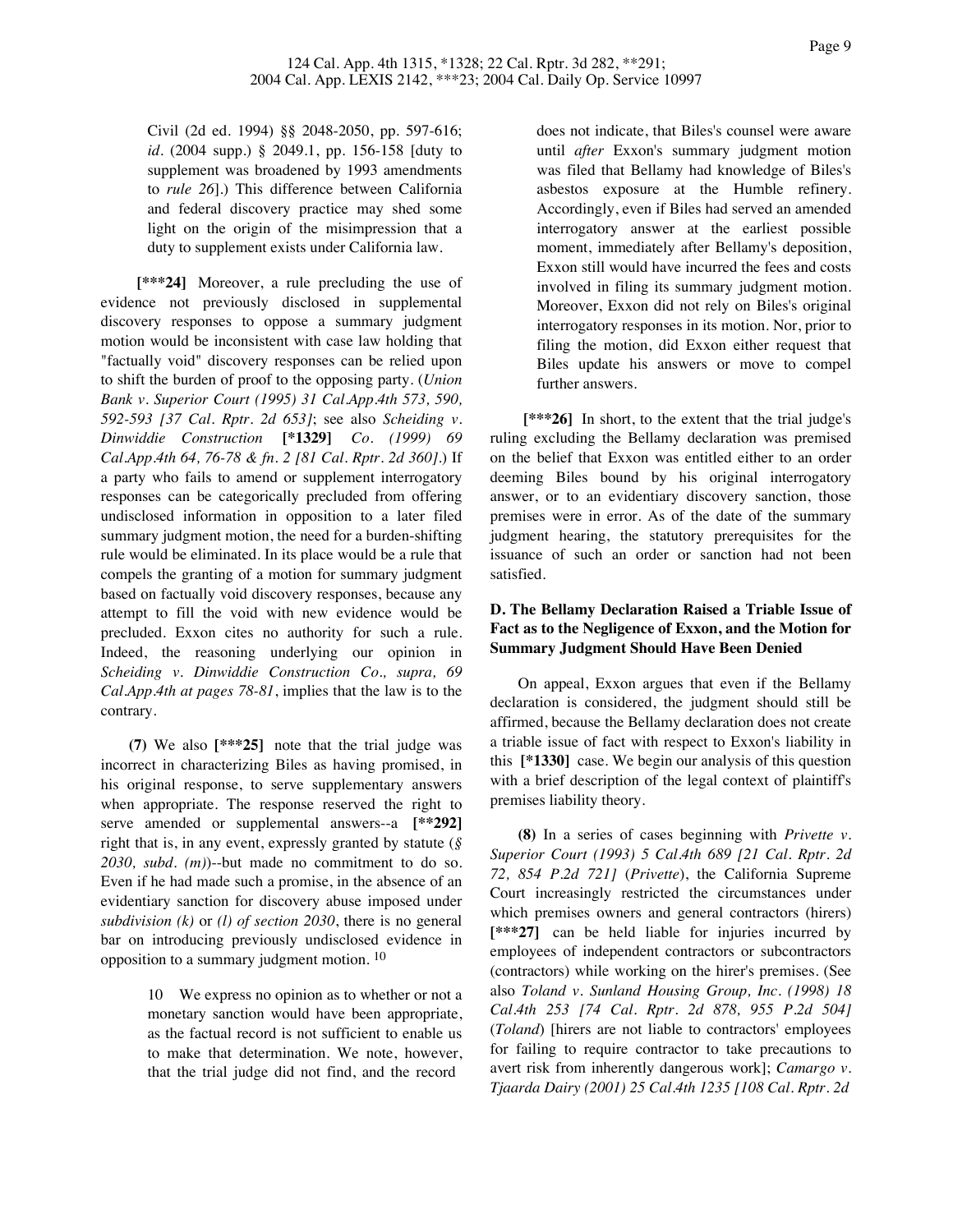Civil (2d ed. 1994) §§ 2048-2050, pp. 597-616; *id.* (2004 supp.) § 2049.1, pp. 156-158 [duty to supplement was broadened by 1993 amendments to *rule 26*].) This difference between California and federal discovery practice may shed some light on the origin of the misimpression that a duty to supplement exists under California law.

**[\*\*\*24]** Moreover, a rule precluding the use of evidence not previously disclosed in supplemental discovery responses to oppose a summary judgment motion would be inconsistent with case law holding that "factually void" discovery responses can be relied upon to shift the burden of proof to the opposing party. (*Union Bank v. Superior Court (1995) 31 Cal.App.4th 573, 590, 592-593 [37 Cal. Rptr. 2d 653]*; see also *Scheiding v. Dinwiddie Construction* **[\*1329]** *Co. (1999) 69 Cal.App.4th 64, 76-78 & fn. 2 [81 Cal. Rptr. 2d 360]*.) If a party who fails to amend or supplement interrogatory responses can be categorically precluded from offering undisclosed information in opposition to a later filed summary judgment motion, the need for a burden-shifting rule would be eliminated. In its place would be a rule that compels the granting of a motion for summary judgment based on factually void discovery responses, because any attempt to fill the void with new evidence would be precluded. Exxon cites no authority for such a rule. Indeed, the reasoning underlying our opinion in *Scheiding v. Dinwiddie Construction Co., supra, 69 Cal.App.4th at pages 78-81*, implies that the law is to the contrary.

**(7)** We also **[\*\*\*25]** note that the trial judge was incorrect in characterizing Biles as having promised, in his original response, to serve supplementary answers when appropriate. The response reserved the right to serve amended or supplemental answers--a **[\*\*292]** right that is, in any event, expressly granted by statute (*§ 2030, subd. (m)*)--but made no commitment to do so. Even if he had made such a promise, in the absence of an evidentiary sanction for discovery abuse imposed under *subdivision (k)* or *(l) of section 2030*, there is no general bar on introducing previously undisclosed evidence in opposition to a summary judgment motion. 10

> 10 We express no opinion as to whether or not a monetary sanction would have been appropriate, as the factual record is not sufficient to enable us to make that determination. We note, however, that the trial judge did not find, and the record

does not indicate, that Biles's counsel were aware until *after* Exxon's summary judgment motion was filed that Bellamy had knowledge of Biles's asbestos exposure at the Humble refinery. Accordingly, even if Biles had served an amended interrogatory answer at the earliest possible moment, immediately after Bellamy's deposition, Exxon still would have incurred the fees and costs involved in filing its summary judgment motion. Moreover, Exxon did not rely on Biles's original interrogatory responses in its motion. Nor, prior to filing the motion, did Exxon either request that Biles update his answers or move to compel further answers.

[\*\*\*26] In short, to the extent that the trial judge's ruling excluding the Bellamy declaration was premised on the belief that Exxon was entitled either to an order deeming Biles bound by his original interrogatory answer, or to an evidentiary discovery sanction, those premises were in error. As of the date of the summary judgment hearing, the statutory prerequisites for the issuance of such an order or sanction had not been satisfied.

# **D. The Bellamy Declaration Raised a Triable Issue of Fact as to the Negligence of Exxon, and the Motion for Summary Judgment Should Have Been Denied**

On appeal, Exxon argues that even if the Bellamy declaration is considered, the judgment should still be affirmed, because the Bellamy declaration does not create a triable issue of fact with respect to Exxon's liability in this **[\*1330]** case. We begin our analysis of this question with a brief description of the legal context of plaintiff's premises liability theory.

**(8)** In a series of cases beginning with *Privette v. Superior Court (1993) 5 Cal.4th 689 [21 Cal. Rptr. 2d 72, 854 P.2d 721]* (*Privette*), the California Supreme Court increasingly restricted the circumstances under which premises owners and general contractors (hirers) **[\*\*\*27]** can be held liable for injuries incurred by employees of independent contractors or subcontractors (contractors) while working on the hirer's premises. (See also *Toland v. Sunland Housing Group, Inc. (1998) 18 Cal.4th 253 [74 Cal. Rptr. 2d 878, 955 P.2d 504]* (*Toland*) [hirers are not liable to contractors' employees for failing to require contractor to take precautions to avert risk from inherently dangerous work]; *Camargo v. Tjaarda Dairy (2001) 25 Cal.4th 1235 [108 Cal. Rptr. 2d*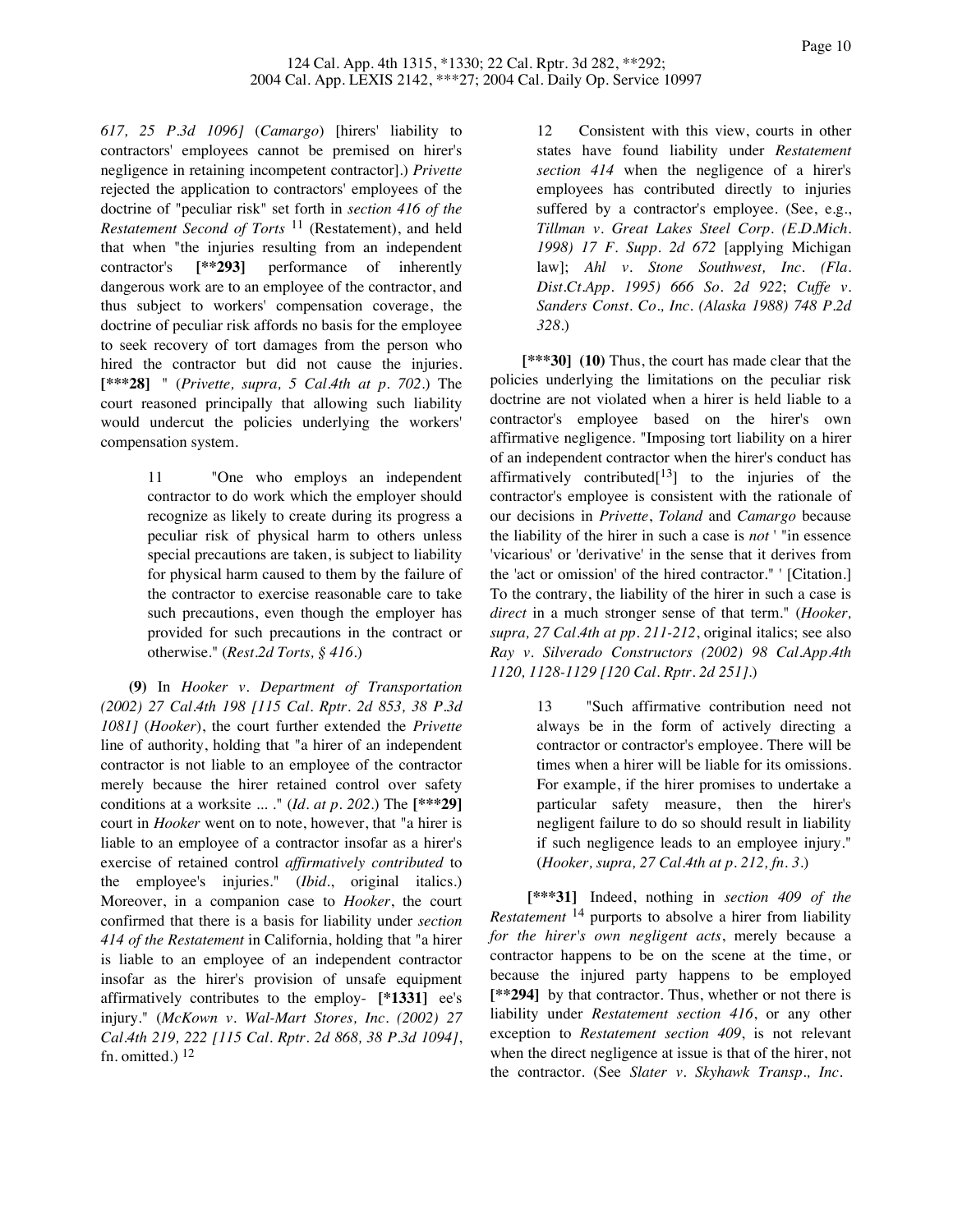*617, 25 P.3d 1096]* (*Camargo*) [hirers' liability to contractors' employees cannot be premised on hirer's negligence in retaining incompetent contractor].) *Privette* rejected the application to contractors' employees of the doctrine of "peculiar risk" set forth in *section 416 of the Restatement Second of Torts* 11 (Restatement), and held that when "the injuries resulting from an independent contractor's **[\*\*293]** performance of inherently dangerous work are to an employee of the contractor, and thus subject to workers' compensation coverage, the doctrine of peculiar risk affords no basis for the employee to seek recovery of tort damages from the person who hired the contractor but did not cause the injuries. **[\*\*\*28]** " (*Privette, supra, 5 Cal.4th at p. 702*.) The court reasoned principally that allowing such liability would undercut the policies underlying the workers' compensation system.

> 11 "One who employs an independent contractor to do work which the employer should recognize as likely to create during its progress a peculiar risk of physical harm to others unless special precautions are taken, is subject to liability for physical harm caused to them by the failure of the contractor to exercise reasonable care to take such precautions, even though the employer has provided for such precautions in the contract or otherwise." (*Rest.2d Torts, § 416*.)

**(9)** In *Hooker v. Department of Transportation (2002) 27 Cal.4th 198 [115 Cal. Rptr. 2d 853, 38 P.3d 1081]* (*Hooker*), the court further extended the *Privette* line of authority, holding that "a hirer of an independent contractor is not liable to an employee of the contractor merely because the hirer retained control over safety conditions at a worksite ... ." (*Id. at p. 202*.) The **[\*\*\*29]** court in *Hooker* went on to note, however, that "a hirer is liable to an employee of a contractor insofar as a hirer's exercise of retained control *affirmatively contributed* to the employee's injuries." (*Ibid.*, original italics.) Moreover, in a companion case to *Hooker*, the court confirmed that there is a basis for liability under *section 414 of the Restatement* in California, holding that "a hirer is liable to an employee of an independent contractor insofar as the hirer's provision of unsafe equipment affirmatively contributes to the employ- **[\*1331]** ee's injury." (*McKown v. Wal-Mart Stores, Inc. (2002) 27 Cal.4th 219, 222 [115 Cal. Rptr. 2d 868, 38 P.3d 1094]*, fn. omitted.) 12

12 Consistent with this view, courts in other states have found liability under *Restatement section 414* when the negligence of a hirer's employees has contributed directly to injuries suffered by a contractor's employee. (See, e.g., *Tillman v. Great Lakes Steel Corp. (E.D.Mich. 1998) 17 F. Supp. 2d 672* [applying Michigan law]; *Ahl v. Stone Southwest, Inc. (Fla. Dist.Ct.App. 1995) 666 So. 2d 922*; *Cuffe v. Sanders Const. Co., Inc. (Alaska 1988) 748 P.2d 328*.)

**[\*\*\*30] (10)** Thus, the court has made clear that the policies underlying the limitations on the peculiar risk doctrine are not violated when a hirer is held liable to a contractor's employee based on the hirer's own affirmative negligence. "Imposing tort liability on a hirer of an independent contractor when the hirer's conduct has affirmatively contributed $[13]$  to the injuries of the contractor's employee is consistent with the rationale of our decisions in *Privette*, *Toland* and *Camargo* because the liability of the hirer in such a case is *not* ' "in essence 'vicarious' or 'derivative' in the sense that it derives from the 'act or omission' of the hired contractor." ' [Citation.] To the contrary, the liability of the hirer in such a case is *direct* in a much stronger sense of that term." (*Hooker, supra, 27 Cal.4th at pp. 211-212*, original italics; see also *Ray v. Silverado Constructors (2002) 98 Cal.App.4th 1120, 1128-1129 [120 Cal. Rptr. 2d 251]*.)

> 13 "Such affirmative contribution need not always be in the form of actively directing a contractor or contractor's employee. There will be times when a hirer will be liable for its omissions. For example, if the hirer promises to undertake a particular safety measure, then the hirer's negligent failure to do so should result in liability if such negligence leads to an employee injury." (*Hooker, supra, 27 Cal.4th at p. 212, fn. 3*.)

**[\*\*\*31]** Indeed, nothing in *section 409 of the Restatement* 14 purports to absolve a hirer from liability *for the hirer's own negligent acts*, merely because a contractor happens to be on the scene at the time, or because the injured party happens to be employed **[\*\*294]** by that contractor. Thus, whether or not there is liability under *Restatement section 416*, or any other exception to *Restatement section 409*, is not relevant when the direct negligence at issue is that of the hirer, not the contractor. (See *Slater v. Skyhawk Transp., Inc.*